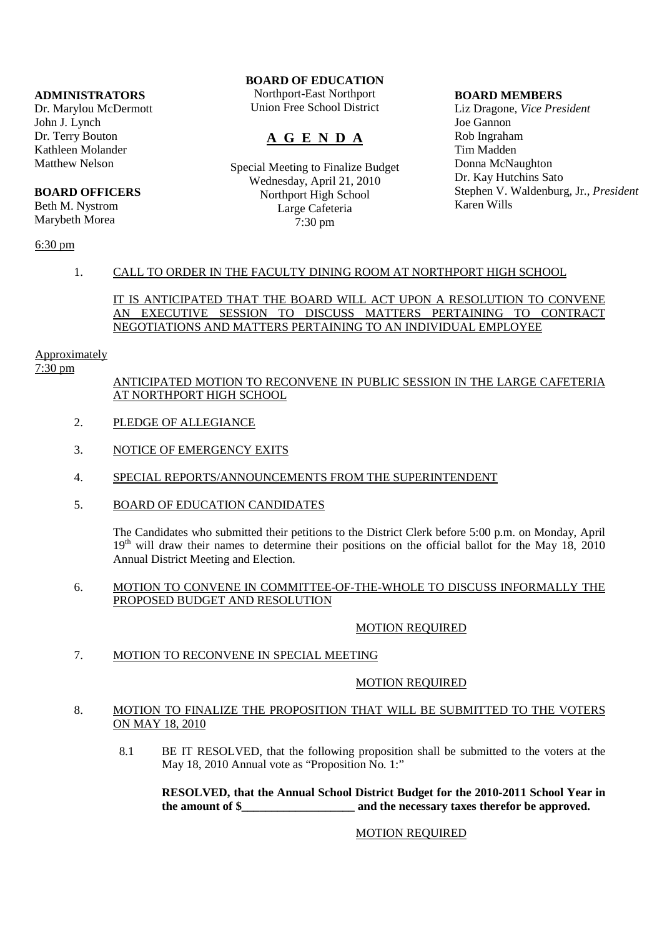#### **ADMINISTRATORS**

Dr. Marylou McDermott John J. Lynch Dr. Terry Bouton Kathleen Molander Matthew Nelson

# **BOARD OFFICERS**

Beth M. Nystrom Marybeth Morea

# **BOARD OF EDUCATION**

Northport-East Northport Union Free School District

# **A G E N D A**

Special Meeting to Finalize Budget Wednesday, April 21, 2010 Northport High School Large Cafeteria 7:30 pm

#### **BOARD MEMBERS**

Liz Dragone, *Vice President* Joe Gannon Rob Ingraham Tim Madden Donna McNaughton Dr. Kay Hutchins Sato Stephen V. Waldenburg, Jr., *President* Karen Wills

#### 6:30 pm

## 1. CALL TO ORDER IN THE FACULTY DINING ROOM AT NORTHPORT HIGH SCHOOL

### IT IS ANTICIPATED THAT THE BOARD WILL ACT UPON A RESOLUTION TO CONVENE AN EXECUTIVE SESSION TO DISCUSS MATTERS PERTAINING TO CONTRACT NEGOTIATIONS AND MATTERS PERTAINING TO AN INDIVIDUAL EMPLOYEE

## **Approximately**

7:30 pm

## ANTICIPATED MOTION TO RECONVENE IN PUBLIC SESSION IN THE LARGE CAFETERIA AT NORTHPORT HIGH SCHOOL

- 2. PLEDGE OF ALLEGIANCE
- 3. NOTICE OF EMERGENCY EXITS
- 4. SPECIAL REPORTS/ANNOUNCEMENTS FROM THE SUPERINTENDENT
- 5. BOARD OF EDUCATION CANDIDATES

The Candidates who submitted their petitions to the District Clerk before 5:00 p.m. on Monday, April  $19<sup>th</sup>$  will draw their names to determine their positions on the official ballot for the May 18, 2010 Annual District Meeting and Election.

#### 6. MOTION TO CONVENE IN COMMITTEE-OF-THE-WHOLE TO DISCUSS INFORMALLY THE PROPOSED BUDGET AND RESOLUTION

# MOTION REQUIRED

7. MOTION TO RECONVENE IN SPECIAL MEETING

#### MOTION REQUIRED

#### 8. MOTION TO FINALIZE THE PROPOSITION THAT WILL BE SUBMITTED TO THE VOTERS ON MAY 18, 2010

 8.1 BE IT RESOLVED, that the following proposition shall be submitted to the voters at the May 18, 2010 Annual vote as "Proposition No. 1:"

## **RESOLVED, that the Annual School District Budget for the 2010-2011 School Year in the amount of \$\_\_\_\_\_\_\_\_\_\_\_\_\_\_\_\_\_\_ and the necessary taxes therefor be approved.**

# MOTION REQUIRED